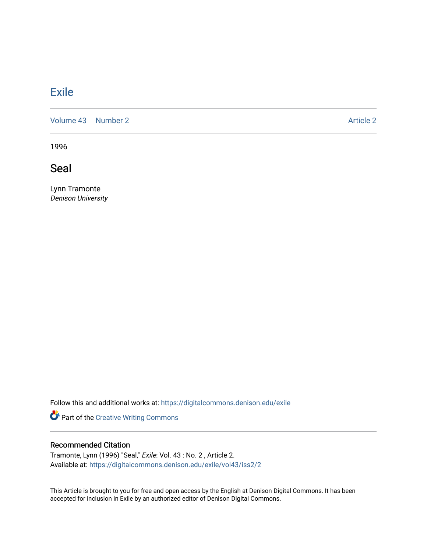## **[Exile](https://digitalcommons.denison.edu/exile)**

[Volume 43](https://digitalcommons.denison.edu/exile/vol43) [Number 2](https://digitalcommons.denison.edu/exile/vol43/iss2) Article 2

1996

**Seal** 

Lynn Tramonte Denison University

Follow this and additional works at: [https://digitalcommons.denison.edu/exile](https://digitalcommons.denison.edu/exile?utm_source=digitalcommons.denison.edu%2Fexile%2Fvol43%2Fiss2%2F2&utm_medium=PDF&utm_campaign=PDFCoverPages) 

Part of the [Creative Writing Commons](http://network.bepress.com/hgg/discipline/574?utm_source=digitalcommons.denison.edu%2Fexile%2Fvol43%2Fiss2%2F2&utm_medium=PDF&utm_campaign=PDFCoverPages) 

## Recommended Citation

Tramonte, Lynn (1996) "Seal," Exile: Vol. 43 : No. 2 , Article 2. Available at: [https://digitalcommons.denison.edu/exile/vol43/iss2/2](https://digitalcommons.denison.edu/exile/vol43/iss2/2?utm_source=digitalcommons.denison.edu%2Fexile%2Fvol43%2Fiss2%2F2&utm_medium=PDF&utm_campaign=PDFCoverPages) 

This Article is brought to you for free and open access by the English at Denison Digital Commons. It has been accepted for inclusion in Exile by an authorized editor of Denison Digital Commons.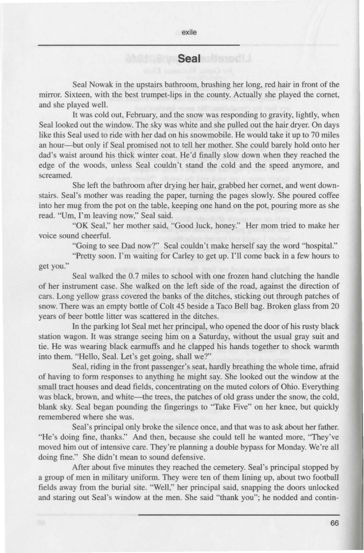## **Seal**

Seal Nowak in the upstairs bathroom, brushing her Jong, red hair in front of the mirror. Sixteen, with the best trumpet-lips in the county. Actually she played the comet, and she played well.

It was cold out, February, and the snow was responding to gravity, lightly, when Seal looked out the window. The sky was white and she pulled out the hair dryer. On days like this Seal used to ride with her dad on his snowmobile. He would take it up to 70 miles an hour-but only if Seal promised not to tell her mother. She could barely hold onto her dad's waist around his thick winter coat. He'd finally slow down when they reached the edge of the woods, unless Seal couldn't stand the cold and the speed anymore, and screamed.

She left the bathroom after drying her hair, grabbed her cornet, and went downstairs. Seal's mother was reading the paper, turning the pages slowly. She poured coffee into her mug from the pot on the table, keeping one hand on the pot, pouring more as she read. "Um, I'm leaving now," Seal said.

"OK Seal," her mother said, "Good luck, honey." Her mom tried to make her voice sound cheerful.

"Going to see Dad now?" Seal couldn't make herself say the word "hospital."

"Pretty soon. I'm waiting for Carley to get up. I'll come back in a few hours to get you."

Seal walked the 0.7 miles to school with one frozen hand clutching the handle of her instrument case. She walked on the left side of the road, against the direction of cars. Long yellow grass covered the banks of the ditches, sticking out through patches of snow. There was an empty bottle of Colt 45 beside a Taco Bell bag. Broken glass from 20 years of beer bottle litter was scattered in the ditches.

In the parking Jot Seal met her principal, who opened the door of his rusty black station wagon. It was strange seeing him on a Saturday, without the usual gray suit and tie. He was wearing black earmuffs and he clapped his hands together to shock warmth into them. "Hello, Seal. Let's get going, shall we?"

Seal, riding in the front passenger's seat, hardly breathing the whole time, afraid of having to form responses to anything he might say. She looked out the window at the small tract houses and dead fields, concentrating on the muted colors of Ohio. Everything was black, brown, and white—the trees, the patches of old grass under the snow, the cold, blank sky. Seal began pounding the fingerings to "Take Five" on her knee, but quickly remembered where she was.

Seal's principal only broke the silence once, and that was to ask about her father. "He's doing fine, thanks." And then, because she could tell he wanted more, "They've moved him out of intensive care. They're planning a double bypass for Monday. We're all doing fine." She didn't mean to sound defensive.

After about five minutes they reached the cemetery. Seal's principal stopped by a group of men in military uniform. They were ten of them lining up, about two football fields away from the burial site. "Well," her principal said, snapping the doors unlocked and staring out Seal's window at the men. She said "thank you"; he nodded and contin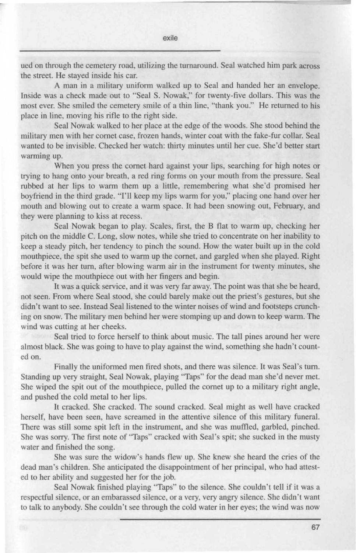ued on through the cemetery road, utilizing the turnaround. Seal watched him park across the street. He stayed inside his car.

A man in a military uniform walked up to Seal and handed her an envelope. Inside was a check made out to "Seal S. Nowak," for twenty-five dollars. This was the most ever. She smiled the cemetery smile of a thin line, "thank you." He returned to his place in line, moving his rifle to the right side.

Seal Nowak walked to her place at the edge of the woods. She stood behind the military men with her cornet case, frozen hands, winter coat with the fake-fur collar. Seal wanted to be invisible. Checked her watch: thirty minutes until her cue. She'd better start warming up.

When you press the cornet hard against your lips, searching for high notes or trying to hang onto your breath, a red ring forms on your mouth from the pressure. Seal rubbed at her lips to warm them up a little, remembering what she'd promised her boyfriend in the third grade. "I'll keep my lips warm for you," placing one hand over her mouth and blowing out to create a warm space. It had been snowing out, February, and they were planning to kiss at recess.

Seal Nowak began to play. Scales, first, the B flat to warm up, checking her pitch on the middle C. Long, slow notes, while she tried to concentrate on her inability to keep a steady pitch, her tendency to pinch the sound. How the water built up in the cold mouthpiece, the spit she used to warm up the cornet, and gargled when she played. Right before it was her turn, after blowing warm air in the instrument for twenty minutes, she would wipe the mouthpiece out with her fingers and begin.

It was a quick service, and it was very far away. The point was that she be heard, not seen. From where Seal stood, she could barely make out the priest's gestures, but she didn't want to see. Instead Seal listened to the winter noises of wind and footsteps crunching on snow. The military men behind her were stomping up and down to keep warm. The wind was cutting at her cheeks.

Seal tried to force herself to think about music. The tall pines around her were almost black. She was going to have to play against the wind, something she hadn't counted on.

Finally the uniformed men fired shots, and there was silence. It was Seal's turn. Standing up very straight, Seal Nowak, playing "Taps" for the dead man she'd never met. She wiped the spit out of the mouthpiece, pulled the cornet up to a military right angle, and pushed the cold metal to her lips.

It cracked. She cracked. The sound cracked. Seal might as well have cracked herself, have been seen, have screamed in the attentive silence of this military funeral. There was still some spit left in the instrument, and she was muffled, garbled, pinched. She was sorry. The first note of "Taps" cracked with Seal 's spit; she sucked in the musty water and finished the song.

She was sure the widow's hands flew up. She knew she heard the cries of the dead man's children. She anticipated the disappointment of her principal, who had attested to her ability and suggested her for the job.

Seal Nowak finished playing "Taps" to the silence. She couldn't tell if it was a respectful silence, or an embarassed silence, or a very, very angry silence. She didn't want to talk to anybody. She couldn't see through the cold water in her eyes; the wind was now